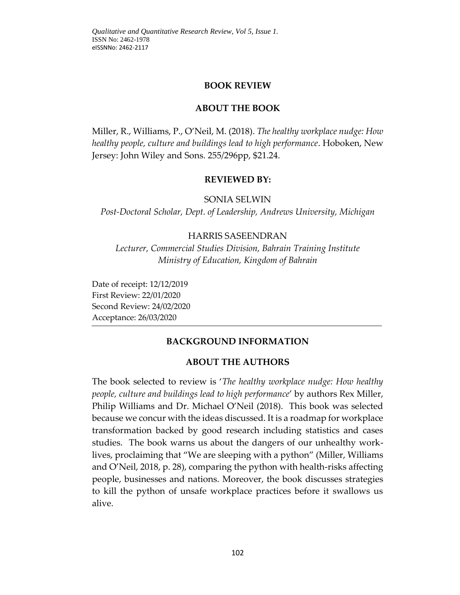### **BOOK REVIEW**

### **ABOUT THE BOOK**

Miller, R., Williams, P., O'Neil, M. (2018). *The healthy workplace nudge: How healthy people, culture and buildings lead to high performance*. Hoboken, New Jersey: John Wiley and Sons. 255/296pp, \$21.24.

### **REVIEWED BY:**

SONIA SELWIN

*Post-Doctoral Scholar, Dept. of Leadership, Andrews University, Michigan*

### HARRIS SASEENDRAN

*Lecturer, Commercial Studies Division, Bahrain Training Institute Ministry of Education, Kingdom of Bahrain*

Date of receipt: 12/12/2019 First Review: 22/01/2020 Second Review: 24/02/2020 Acceptance: 26/03/2020

### **BACKGROUND INFORMATION**

### **ABOUT THE AUTHORS**

The book selected to review is '*The healthy workplace nudge: How healthy people, culture and buildings lead to high performance*' by authors Rex Miller, Philip Williams and Dr. Michael O'Neil (2018). This book was selected because we concur with the ideas discussed. It is a roadmap for workplace transformation backed by good research including statistics and cases studies. The book warns us about the dangers of our unhealthy worklives, proclaiming that "We are sleeping with a python" (Miller, Williams and O'Neil, 2018, p. 28), comparing the python with health-risks affecting people, businesses and nations. Moreover, the book discusses strategies to kill the python of unsafe workplace practices before it swallows us alive.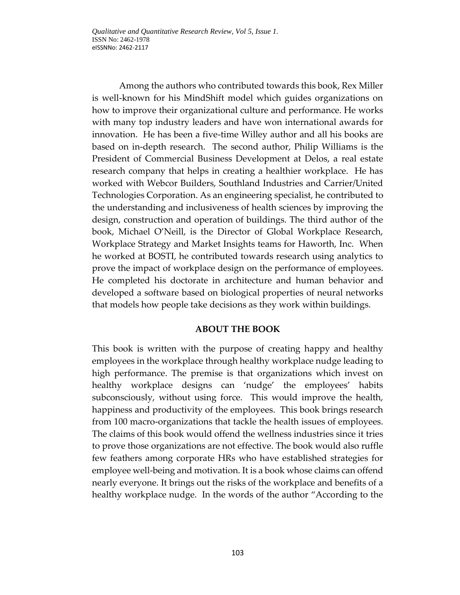*Qualitative and Quantitative Research Review, Vol 5, Issue 1.*  ISSN No: 2462-1978 eISSNNo: 2462-2117

Among the authors who contributed towards this book, Rex Miller is well-known for his MindShift model which guides organizations on how to improve their organizational culture and performance. He works with many top industry leaders and have won international awards for innovation. He has been a five-time Willey author and all his books are based on in-depth research. The second author, Philip Williams is the President of Commercial Business Development at Delos, a real estate research company that helps in creating a healthier workplace. He has worked with Webcor Builders, Southland Industries and Carrier/United Technologies Corporation. As an engineering specialist, he contributed to the understanding and inclusiveness of health sciences by improving the design, construction and operation of buildings. The third author of the book, Michael O'Neill, is the Director of Global Workplace Research, Workplace Strategy and Market Insights teams for Haworth, Inc. When he worked at BOSTI, he contributed towards research using analytics to prove the impact of workplace design on the performance of employees. He completed his doctorate in architecture and human behavior and developed a software based on biological properties of neural networks that models how people take decisions as they work within buildings.

### **ABOUT THE BOOK**

This book is written with the purpose of creating happy and healthy employees in the workplace through healthy workplace nudge leading to high performance. The premise is that organizations which invest on healthy workplace designs can 'nudge' the employees' habits subconsciously, without using force. This would improve the health, happiness and productivity of the employees. This book brings research from 100 macro-organizations that tackle the health issues of employees. The claims of this book would offend the wellness industries since it tries to prove those organizations are not effective. The book would also ruffle few feathers among corporate HRs who have established strategies for employee well-being and motivation. It is a book whose claims can offend nearly everyone. It brings out the risks of the workplace and benefits of a healthy workplace nudge. In the words of the author "According to the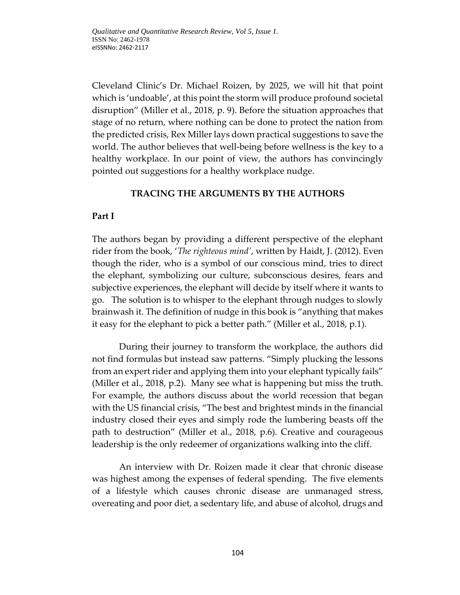Cleveland Clinic's Dr. Michael Roizen, by 2025, we will hit that point which is 'undoable', at this point the storm will produce profound societal disruption" (Miller et al., 2018, p. 9). Before the situation approaches that stage of no return, where nothing can be done to protect the nation from the predicted crisis, Rex Miller lays down practical suggestions to save the world. The author believes that well-being before wellness is the key to a healthy workplace. In our point of view, the authors has convincingly pointed out suggestions for a healthy workplace nudge.

## **TRACING THE ARGUMENTS BY THE AUTHORS**

# **Part I**

The authors began by providing a different perspective of the elephant rider from the book, '*The righteous mind'*, written by Haidt, J. (2012). Even though the rider, who is a symbol of our conscious mind, tries to direct the elephant, symbolizing our culture, subconscious desires, fears and subjective experiences, the elephant will decide by itself where it wants to go. The solution is to whisper to the elephant through nudges to slowly brainwash it. The definition of nudge in this book is "anything that makes it easy for the elephant to pick a better path." (Miller et al., 2018, p.1).

During their journey to transform the workplace, the authors did not find formulas but instead saw patterns. "Simply plucking the lessons from an expert rider and applying them into your elephant typically fails" (Miller et al., 2018, p.2). Many see what is happening but miss the truth. For example, the authors discuss about the world recession that began with the US financial crisis, "The best and brightest minds in the financial industry closed their eyes and simply rode the lumbering beasts off the path to destruction" (Miller et al., 2018, p.6). Creative and courageous leadership is the only redeemer of organizations walking into the cliff.

An interview with Dr. Roizen made it clear that chronic disease was highest among the expenses of federal spending. The five elements of a lifestyle which causes chronic disease are unmanaged stress, overeating and poor diet, a sedentary life, and abuse of alcohol, drugs and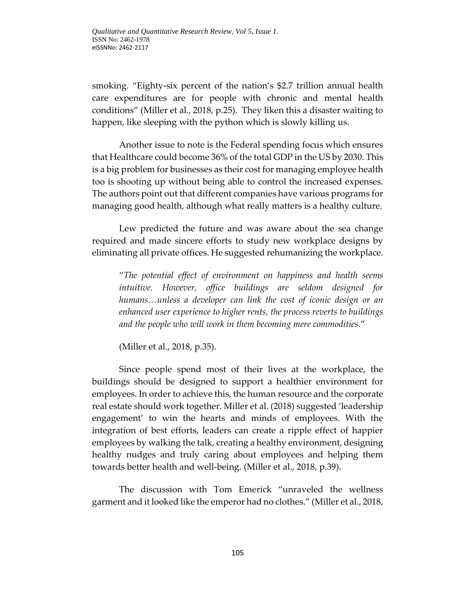smoking. "Eighty-six percent of the nation's \$2.7 trillion annual health care expenditures are for people with chronic and mental health conditions" (Miller et al., 2018, p.25). They liken this a disaster waiting to happen, like sleeping with the python which is slowly killing us.

Another issue to note is the Federal spending focus which ensures that Healthcare could become 36% of the total GDP in the US by 2030. This is a big problem for businesses as their cost for managing employee health too is shooting up without being able to control the increased expenses. The authors point out that different companies have various programs for managing good health, although what really matters is a healthy culture.

Lew predicted the future and was aware about the sea change required and made sincere efforts to study new workplace designs by eliminating all private offices. He suggested rehumanizing the workplace.

"*The potential effect of environment on happiness and health seems intuitive. However, office buildings are seldom designed for humans…unless a developer can link the cost of iconic design or an enhanced user experience to higher rents, the process reverts to buildings and the people who will work in them becoming mere commodities.*"

(Miller et al., 2018, p.35).

Since people spend most of their lives at the workplace, the buildings should be designed to support a healthier environment for employees. In order to achieve this, the human resource and the corporate real estate should work together. Miller et al. (2018) suggested 'leadership engagement' to win the hearts and minds of employees. With the integration of best efforts, leaders can create a ripple effect of happier employees by walking the talk, creating a healthy environment, designing healthy nudges and truly caring about employees and helping them towards better health and well-being. (Miller et al., 2018, p.39).

The discussion with Tom Emerick "unraveled the wellness garment and it looked like the emperor had no clothes." (Miller et al., 2018,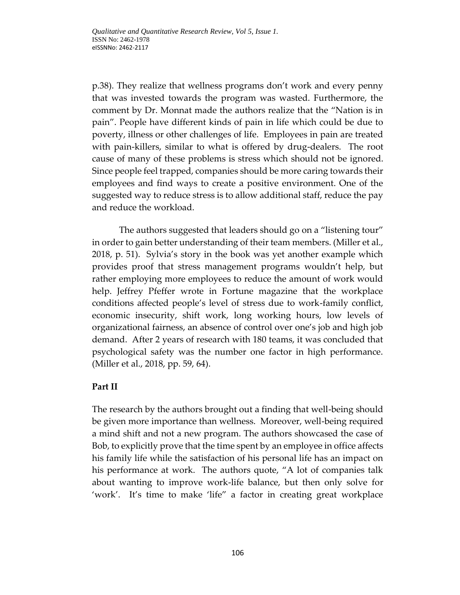p.38). They realize that wellness programs don't work and every penny that was invested towards the program was wasted. Furthermore, the comment by Dr. Monnat made the authors realize that the "Nation is in pain". People have different kinds of pain in life which could be due to poverty, illness or other challenges of life. Employees in pain are treated with pain-killers, similar to what is offered by drug-dealers. The root cause of many of these problems is stress which should not be ignored. Since people feel trapped, companies should be more caring towards their employees and find ways to create a positive environment. One of the suggested way to reduce stress is to allow additional staff, reduce the pay and reduce the workload.

The authors suggested that leaders should go on a "listening tour" in order to gain better understanding of their team members. (Miller et al., 2018, p. 51). Sylvia's story in the book was yet another example which provides proof that stress management programs wouldn't help, but rather employing more employees to reduce the amount of work would help. Jeffrey Pfeffer wrote in Fortune magazine that the workplace conditions affected people's level of stress due to work-family conflict, economic insecurity, shift work, long working hours, low levels of organizational fairness, an absence of control over one's job and high job demand. After 2 years of research with 180 teams, it was concluded that psychological safety was the number one factor in high performance. (Miller et al., 2018, pp. 59, 64).

## **Part II**

The research by the authors brought out a finding that well-being should be given more importance than wellness. Moreover, well-being required a mind shift and not a new program. The authors showcased the case of Bob, to explicitly prove that the time spent by an employee in office affects his family life while the satisfaction of his personal life has an impact on his performance at work. The authors quote, "A lot of companies talk about wanting to improve work-life balance, but then only solve for 'work'. It's time to make 'life" a factor in creating great workplace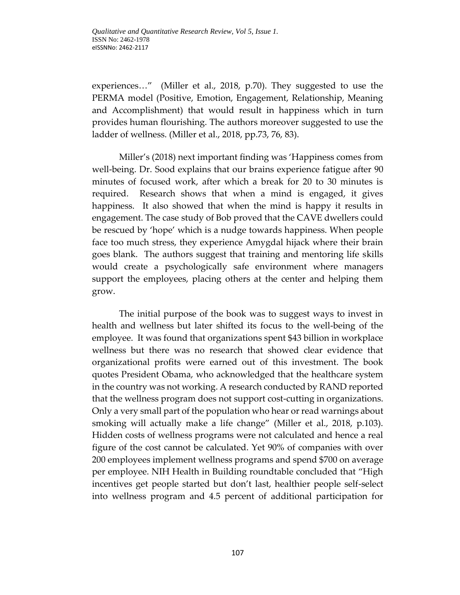experiences…" (Miller et al., 2018, p.70). They suggested to use the PERMA model (Positive, Emotion, Engagement, Relationship, Meaning and Accomplishment) that would result in happiness which in turn provides human flourishing. The authors moreover suggested to use the ladder of wellness. (Miller et al., 2018, pp.73, 76, 83).

Miller's (2018) next important finding was 'Happiness comes from well-being. Dr. Sood explains that our brains experience fatigue after 90 minutes of focused work, after which a break for 20 to 30 minutes is required. Research shows that when a mind is engaged, it gives happiness. It also showed that when the mind is happy it results in engagement. The case study of Bob proved that the CAVE dwellers could be rescued by 'hope' which is a nudge towards happiness. When people face too much stress, they experience Amygdal hijack where their brain goes blank. The authors suggest that training and mentoring life skills would create a psychologically safe environment where managers support the employees, placing others at the center and helping them grow.

The initial purpose of the book was to suggest ways to invest in health and wellness but later shifted its focus to the well-being of the employee. It was found that organizations spent \$43 billion in workplace wellness but there was no research that showed clear evidence that organizational profits were earned out of this investment. The book quotes President Obama, who acknowledged that the healthcare system in the country was not working. A research conducted by RAND reported that the wellness program does not support cost-cutting in organizations. Only a very small part of the population who hear or read warnings about smoking will actually make a life change" (Miller et al., 2018, p.103). Hidden costs of wellness programs were not calculated and hence a real figure of the cost cannot be calculated. Yet 90% of companies with over 200 employees implement wellness programs and spend \$700 on average per employee. NIH Health in Building roundtable concluded that "High incentives get people started but don't last, healthier people self-select into wellness program and 4.5 percent of additional participation for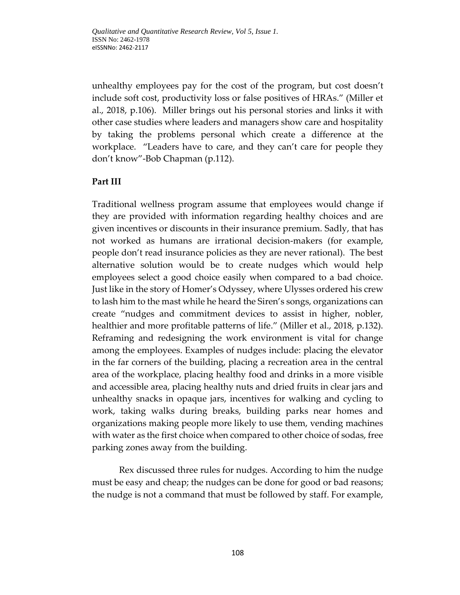unhealthy employees pay for the cost of the program, but cost doesn't include soft cost, productivity loss or false positives of HRAs." (Miller et al., 2018, p.106). Miller brings out his personal stories and links it with other case studies where leaders and managers show care and hospitality by taking the problems personal which create a difference at the workplace. "Leaders have to care, and they can't care for people they don't know"-Bob Chapman (p.112).

## **Part III**

Traditional wellness program assume that employees would change if they are provided with information regarding healthy choices and are given incentives or discounts in their insurance premium. Sadly, that has not worked as humans are irrational decision-makers (for example, people don't read insurance policies as they are never rational). The best alternative solution would be to create nudges which would help employees select a good choice easily when compared to a bad choice. Just like in the story of Homer's Odyssey, where Ulysses ordered his crew to lash him to the mast while he heard the Siren's songs, organizations can create "nudges and commitment devices to assist in higher, nobler, healthier and more profitable patterns of life." (Miller et al., 2018, p.132). Reframing and redesigning the work environment is vital for change among the employees. Examples of nudges include: placing the elevator in the far corners of the building, placing a recreation area in the central area of the workplace, placing healthy food and drinks in a more visible and accessible area, placing healthy nuts and dried fruits in clear jars and unhealthy snacks in opaque jars, incentives for walking and cycling to work, taking walks during breaks, building parks near homes and organizations making people more likely to use them, vending machines with water as the first choice when compared to other choice of sodas, free parking zones away from the building.

Rex discussed three rules for nudges. According to him the nudge must be easy and cheap; the nudges can be done for good or bad reasons; the nudge is not a command that must be followed by staff. For example,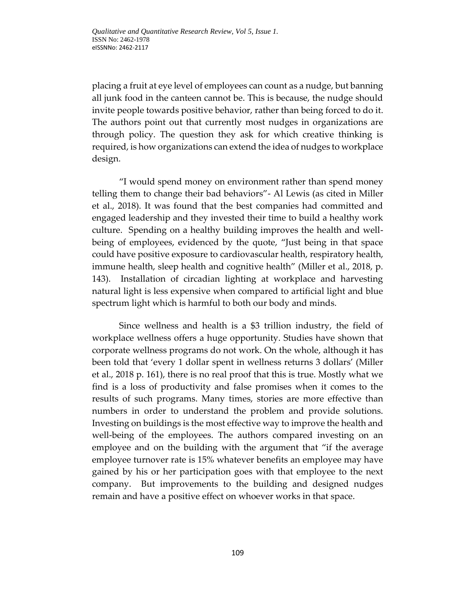placing a fruit at eye level of employees can count as a nudge, but banning all junk food in the canteen cannot be. This is because, the nudge should invite people towards positive behavior, rather than being forced to do it. The authors point out that currently most nudges in organizations are through policy. The question they ask for which creative thinking is required, is how organizations can extend the idea of nudges to workplace design.

"I would spend money on environment rather than spend money telling them to change their bad behaviors"- Al Lewis (as cited in Miller et al., 2018). It was found that the best companies had committed and engaged leadership and they invested their time to build a healthy work culture. Spending on a healthy building improves the health and wellbeing of employees, evidenced by the quote, "Just being in that space could have positive exposure to cardiovascular health, respiratory health, immune health, sleep health and cognitive health" (Miller et al., 2018, p. 143). Installation of circadian lighting at workplace and harvesting natural light is less expensive when compared to artificial light and blue spectrum light which is harmful to both our body and minds.

Since wellness and health is a \$3 trillion industry, the field of workplace wellness offers a huge opportunity. Studies have shown that corporate wellness programs do not work. On the whole, although it has been told that 'every 1 dollar spent in wellness returns 3 dollars' (Miller et al., 2018 p. 161), there is no real proof that this is true. Mostly what we find is a loss of productivity and false promises when it comes to the results of such programs. Many times, stories are more effective than numbers in order to understand the problem and provide solutions. Investing on buildings is the most effective way to improve the health and well-being of the employees. The authors compared investing on an employee and on the building with the argument that "if the average employee turnover rate is 15% whatever benefits an employee may have gained by his or her participation goes with that employee to the next company. But improvements to the building and designed nudges remain and have a positive effect on whoever works in that space.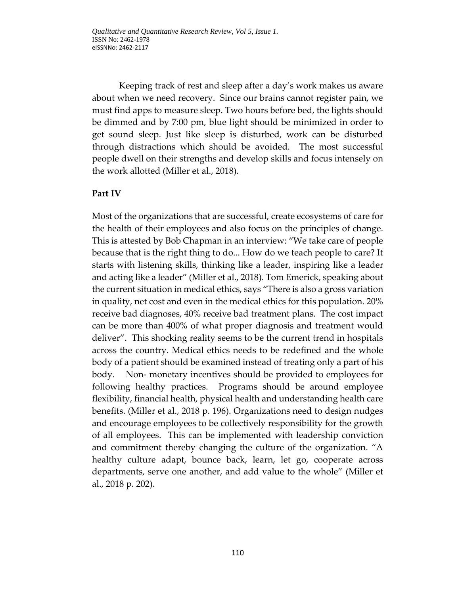*Qualitative and Quantitative Research Review, Vol 5, Issue 1.*  ISSN No: 2462-1978 eISSNNo: 2462-2117

Keeping track of rest and sleep after a day's work makes us aware about when we need recovery. Since our brains cannot register pain, we must find apps to measure sleep. Two hours before bed, the lights should be dimmed and by 7:00 pm, blue light should be minimized in order to get sound sleep. Just like sleep is disturbed, work can be disturbed through distractions which should be avoided. The most successful people dwell on their strengths and develop skills and focus intensely on the work allotted (Miller et al., 2018).

### **Part IV**

Most of the organizations that are successful, create ecosystems of care for the health of their employees and also focus on the principles of change. This is attested by Bob Chapman in an interview: "We take care of people because that is the right thing to do... How do we teach people to care? It starts with listening skills, thinking like a leader, inspiring like a leader and acting like a leader" (Miller et al., 2018). Tom Emerick, speaking about the current situation in medical ethics, says "There is also a gross variation in quality, net cost and even in the medical ethics for this population. 20% receive bad diagnoses, 40% receive bad treatment plans. The cost impact can be more than 400% of what proper diagnosis and treatment would deliver". This shocking reality seems to be the current trend in hospitals across the country. Medical ethics needs to be redefined and the whole body of a patient should be examined instead of treating only a part of his body. Non- monetary incentives should be provided to employees for following healthy practices. Programs should be around employee flexibility, financial health, physical health and understanding health care benefits. (Miller et al., 2018 p. 196). Organizations need to design nudges and encourage employees to be collectively responsibility for the growth of all employees. This can be implemented with leadership conviction and commitment thereby changing the culture of the organization. "A healthy culture adapt, bounce back, learn, let go, cooperate across departments, serve one another, and add value to the whole" (Miller et al., 2018 p. 202).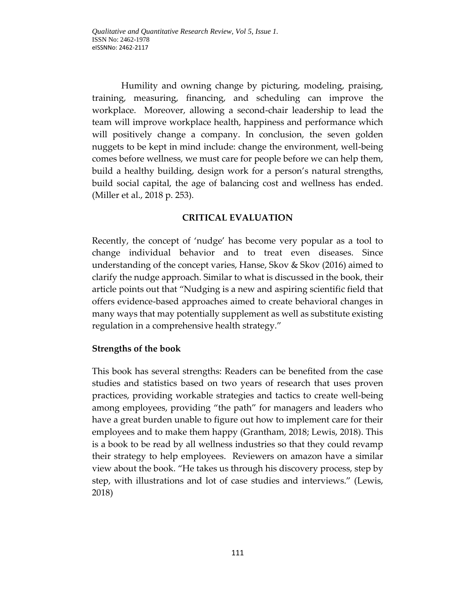Humility and owning change by picturing, modeling, praising, training, measuring, financing, and scheduling can improve the workplace. Moreover, allowing a second-chair leadership to lead the team will improve workplace health, happiness and performance which will positively change a company. In conclusion, the seven golden nuggets to be kept in mind include: change the environment, well-being comes before wellness, we must care for people before we can help them, build a healthy building, design work for a person's natural strengths, build social capital, the age of balancing cost and wellness has ended. (Miller et al., 2018 p. 253).

# **CRITICAL EVALUATION**

Recently, the concept of 'nudge' has become very popular as a tool to change individual behavior and to treat even diseases. Since understanding of the concept varies, Hanse, Skov & Skov (2016) aimed to clarify the nudge approach. Similar to what is discussed in the book, their article points out that "Nudging is a new and aspiring scientific field that offers evidence-based approaches aimed to create behavioral changes in many ways that may potentially supplement as well as substitute existing regulation in a comprehensive health strategy."

## **Strengths of the book**

This book has several strengths: Readers can be benefited from the case studies and statistics based on two years of research that uses proven practices, providing workable strategies and tactics to create well-being among employees, providing "the path" for managers and leaders who have a great burden unable to figure out how to implement care for their employees and to make them happy (Grantham, 2018; Lewis, 2018). This is a book to be read by all wellness industries so that they could revamp their strategy to help employees. Reviewers on amazon have a similar view about the book. "He takes us through his discovery process, step by step, with illustrations and lot of case studies and interviews." (Lewis, 2018)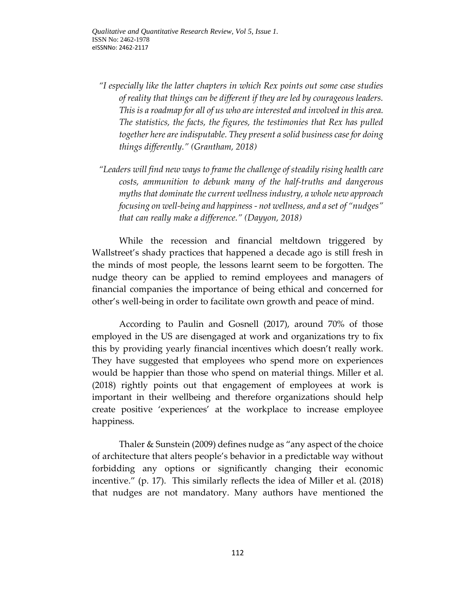*"I especially like the latter chapters in which Rex points out some case studies of reality that things can be different if they are led by courageous leaders. This is a roadmap for all of us who are interested and involved in this area. The statistics, the facts, the figures, the testimonies that Rex has pulled together here are indisputable. They present a solid business case for doing things differently." (Grantham, 2018)*

*"Leaders will find new ways to frame the challenge of steadily rising health care costs, ammunition to debunk many of the half-truths and dangerous myths that dominate the current wellness industry, a whole new approach focusing on well-being and happiness - not wellness, and a set of "nudges" that can really make a difference." (Dayyon, 2018)*

While the recession and financial meltdown triggered by Wallstreet's shady practices that happened a decade ago is still fresh in the minds of most people, the lessons learnt seem to be forgotten. The nudge theory can be applied to remind employees and managers of financial companies the importance of being ethical and concerned for other's well-being in order to facilitate own growth and peace of mind.

According to Paulin and Gosnell (2017), around 70% of those employed in the US are disengaged at work and organizations try to fix this by providing yearly financial incentives which doesn't really work. They have suggested that employees who spend more on experiences would be happier than those who spend on material things. Miller et al. (2018) rightly points out that engagement of employees at work is important in their wellbeing and therefore organizations should help create positive 'experiences' at the workplace to increase employee happiness.

Thaler & Sunstein (2009) defines nudge as "any aspect of the choice of architecture that alters people's behavior in a predictable way without forbidding any options or significantly changing their economic incentive." (p. 17). This similarly reflects the idea of Miller et al. (2018) that nudges are not mandatory. Many authors have mentioned the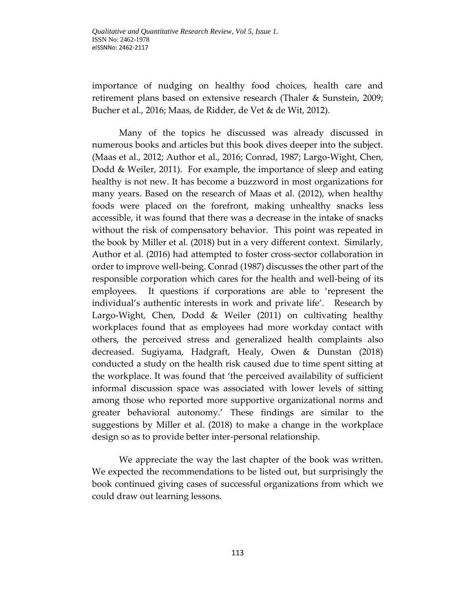importance of nudging on healthy food choices, health care and retirement plans based on extensive research (Thaler & Sunstein, 2009; Bucher et al., 2016; Maas, de Ridder, de Vet & de Wit, 2012).

Many of the topics he discussed was already discussed in numerous books and articles but this book dives deeper into the subject. (Maas et al., 2012; Author et al., 2016; Conrad, 1987; Largo-Wight, Chen, Dodd & Weiler, 2011). For example, the importance of sleep and eating healthy is not new. It has become a buzzword in most organizations for many years. Based on the research of Maas et al. (2012), when healthy foods were placed on the forefront, making unhealthy snacks less accessible, it was found that there was a decrease in the intake of snacks without the risk of compensatory behavior. This point was repeated in the book by Miller et al. (2018) but in a very different context. Similarly, Author et al. (2016) had attempted to foster cross-sector collaboration in order to improve well-being. Conrad (1987) discusses the other part of the responsible corporation which cares for the health and well-being of its employees. It questions if corporations are able to 'represent the individual's authentic interests in work and private life'. Research by Largo-Wight, Chen, Dodd & Weiler (2011) on cultivating healthy workplaces found that as employees had more workday contact with others, the perceived stress and generalized health complaints also decreased. Sugiyama, Hadgraft, Healy, Owen & Dunstan (2018) conducted a study on the health risk caused due to time spent sitting at the workplace. It was found that 'the perceived availability of sufficient informal discussion space was associated with lower levels of sitting among those who reported more supportive organizational norms and greater behavioral autonomy.' These findings are similar to the suggestions by Miller et al. (2018) to make a change in the workplace design so as to provide better inter-personal relationship.

We appreciate the way the last chapter of the book was written. We expected the recommendations to be listed out, but surprisingly the book continued giving cases of successful organizations from which we could draw out learning lessons.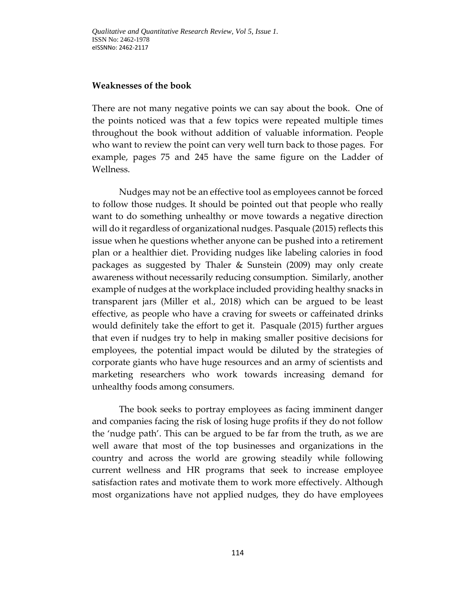### **Weaknesses of the book**

There are not many negative points we can say about the book. One of the points noticed was that a few topics were repeated multiple times throughout the book without addition of valuable information. People who want to review the point can very well turn back to those pages. For example, pages 75 and 245 have the same figure on the Ladder of Wellness.

Nudges may not be an effective tool as employees cannot be forced to follow those nudges. It should be pointed out that people who really want to do something unhealthy or move towards a negative direction will do it regardless of organizational nudges. Pasquale (2015) reflects this issue when he questions whether anyone can be pushed into a retirement plan or a healthier diet. Providing nudges like labeling calories in food packages as suggested by Thaler & Sunstein (2009) may only create awareness without necessarily reducing consumption. Similarly, another example of nudges at the workplace included providing healthy snacks in transparent jars (Miller et al., 2018) which can be argued to be least effective, as people who have a craving for sweets or caffeinated drinks would definitely take the effort to get it. Pasquale (2015) further argues that even if nudges try to help in making smaller positive decisions for employees, the potential impact would be diluted by the strategies of corporate giants who have huge resources and an army of scientists and marketing researchers who work towards increasing demand for unhealthy foods among consumers.

The book seeks to portray employees as facing imminent danger and companies facing the risk of losing huge profits if they do not follow the 'nudge path'. This can be argued to be far from the truth, as we are well aware that most of the top businesses and organizations in the country and across the world are growing steadily while following current wellness and HR programs that seek to increase employee satisfaction rates and motivate them to work more effectively. Although most organizations have not applied nudges, they do have employees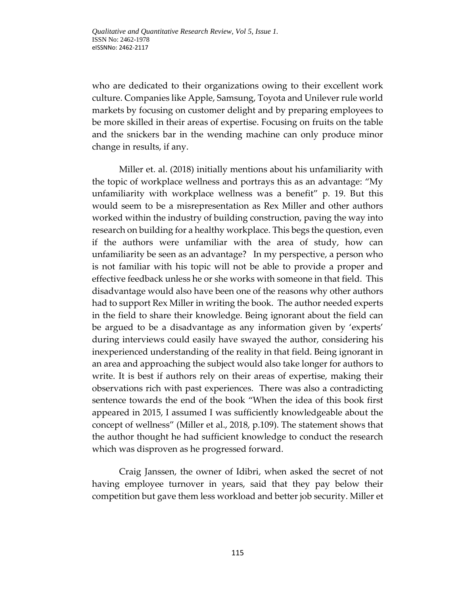who are dedicated to their organizations owing to their excellent work culture. Companies like Apple, Samsung, Toyota and Unilever rule world markets by focusing on customer delight and by preparing employees to be more skilled in their areas of expertise. Focusing on fruits on the table and the snickers bar in the wending machine can only produce minor change in results, if any.

Miller et. al. (2018) initially mentions about his unfamiliarity with the topic of workplace wellness and portrays this as an advantage: "My unfamiliarity with workplace wellness was a benefit" p. 19. But this would seem to be a misrepresentation as Rex Miller and other authors worked within the industry of building construction, paving the way into research on building for a healthy workplace. This begs the question, even if the authors were unfamiliar with the area of study, how can unfamiliarity be seen as an advantage? In my perspective, a person who is not familiar with his topic will not be able to provide a proper and effective feedback unless he or she works with someone in that field. This disadvantage would also have been one of the reasons why other authors had to support Rex Miller in writing the book. The author needed experts in the field to share their knowledge. Being ignorant about the field can be argued to be a disadvantage as any information given by 'experts' during interviews could easily have swayed the author, considering his inexperienced understanding of the reality in that field. Being ignorant in an area and approaching the subject would also take longer for authors to write. It is best if authors rely on their areas of expertise, making their observations rich with past experiences. There was also a contradicting sentence towards the end of the book "When the idea of this book first appeared in 2015, I assumed I was sufficiently knowledgeable about the concept of wellness" (Miller et al., 2018, p.109). The statement shows that the author thought he had sufficient knowledge to conduct the research which was disproven as he progressed forward.

Craig Janssen, the owner of Idibri, when asked the secret of not having employee turnover in years, said that they pay below their competition but gave them less workload and better job security. Miller et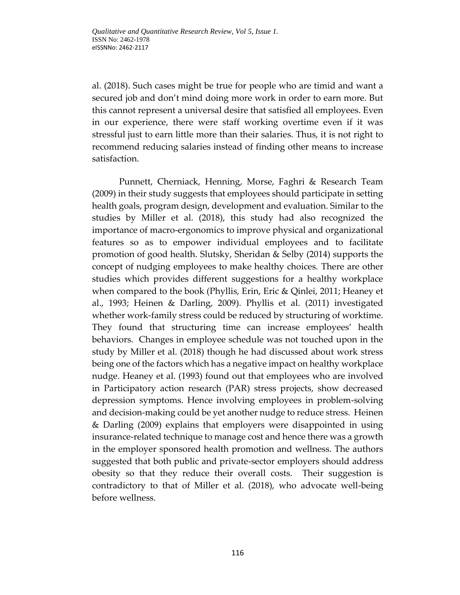al. (2018). Such cases might be true for people who are timid and want a secured job and don't mind doing more work in order to earn more. But this cannot represent a universal desire that satisfied all employees. Even in our experience, there were staff working overtime even if it was stressful just to earn little more than their salaries. Thus, it is not right to recommend reducing salaries instead of finding other means to increase satisfaction.

Punnett, Cherniack, Henning, Morse, Faghri & Research Team (2009) in their study suggests that employees should participate in setting health goals, program design, development and evaluation. Similar to the studies by Miller et al. (2018), this study had also recognized the importance of macro-ergonomics to improve physical and organizational features so as to empower individual employees and to facilitate promotion of good health. Slutsky, Sheridan & Selby (2014) supports the concept of nudging employees to make healthy choices. There are other studies which provides different suggestions for a healthy workplace when compared to the book (Phyllis, Erin, Eric & Qinlei, 2011; Heaney et al., 1993; Heinen & Darling, 2009). Phyllis et al. (2011) investigated whether work-family stress could be reduced by structuring of worktime. They found that structuring time can increase employees' health behaviors. Changes in employee schedule was not touched upon in the study by Miller et al. (2018) though he had discussed about work stress being one of the factors which has a negative impact on healthy workplace nudge. Heaney et al. (1993) found out that employees who are involved in Participatory action research (PAR) stress projects, show decreased depression symptoms. Hence involving employees in problem-solving and decision-making could be yet another nudge to reduce stress. Heinen & Darling (2009) explains that employers were disappointed in using insurance-related technique to manage cost and hence there was a growth in the employer sponsored health promotion and wellness. The authors suggested that both public and private-sector employers should address obesity so that they reduce their overall costs. Their suggestion is contradictory to that of Miller et al. (2018), who advocate well-being before wellness.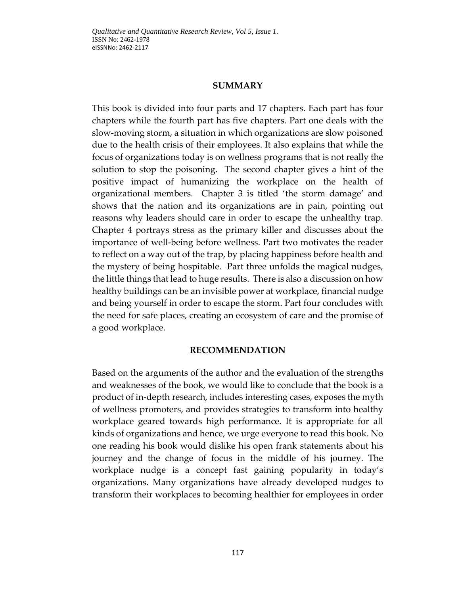### **SUMMARY**

This book is divided into four parts and 17 chapters. Each part has four chapters while the fourth part has five chapters. Part one deals with the slow-moving storm, a situation in which organizations are slow poisoned due to the health crisis of their employees. It also explains that while the focus of organizations today is on wellness programs that is not really the solution to stop the poisoning. The second chapter gives a hint of the positive impact of humanizing the workplace on the health of organizational members. Chapter 3 is titled 'the storm damage' and shows that the nation and its organizations are in pain, pointing out reasons why leaders should care in order to escape the unhealthy trap. Chapter 4 portrays stress as the primary killer and discusses about the importance of well-being before wellness. Part two motivates the reader to reflect on a way out of the trap, by placing happiness before health and the mystery of being hospitable. Part three unfolds the magical nudges, the little things that lead to huge results. There is also a discussion on how healthy buildings can be an invisible power at workplace, financial nudge and being yourself in order to escape the storm. Part four concludes with the need for safe places, creating an ecosystem of care and the promise of a good workplace.

### **RECOMMENDATION**

Based on the arguments of the author and the evaluation of the strengths and weaknesses of the book, we would like to conclude that the book is a product of in-depth research, includes interesting cases, exposes the myth of wellness promoters, and provides strategies to transform into healthy workplace geared towards high performance. It is appropriate for all kinds of organizations and hence, we urge everyone to read this book. No one reading his book would dislike his open frank statements about his journey and the change of focus in the middle of his journey. The workplace nudge is a concept fast gaining popularity in today's organizations. Many organizations have already developed nudges to transform their workplaces to becoming healthier for employees in order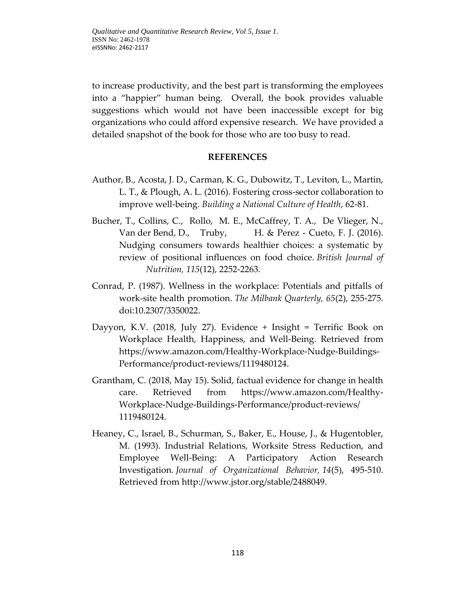to increase productivity, and the best part is transforming the employees into a "happier" human being. Overall, the book provides valuable suggestions which would not have been inaccessible except for big organizations who could afford expensive research. We have provided a detailed snapshot of the book for those who are too busy to read.

## **REFERENCES**

- Author, B., Acosta, J. D., Carman, K. G., Dubowitz, T., Leviton, L., Martin, L. T., & Plough, A. L. (2016). Fostering cross-sector collaboration to improve well-being. *Building a National Culture of Health*, 62-81.
- Bucher, T., Collins, C., Rollo, M. E., McCaffrey, T. A., De Vlieger, N., Van der Bend, D., Truby, H. & Perez - Cueto, F. J. (2016). Nudging consumers towards healthier choices: a systematic by review of positional influences on food choice. *British Journal of Nutrition, 115*(12), 2252-2263.
- Conrad, P. (1987). Wellness in the workplace: Potentials and pitfalls of work-site health promotion. *The Milbank Quarterly, 65*(2), 255-275. doi:10.2307/3350022.
- Dayyon, K.V. (2018, July 27). [Evidence + Insight = Terrific Book on](https://www.amazon.com/gp/customer-reviews/R21FVNTJ9C97PJ/ref=cm_cr_arp_d_rvw_ttl?ie=UTF8&ASIN=1119480124)  [Workplace Health, Happiness, and Well-Being.](https://www.amazon.com/gp/customer-reviews/R21FVNTJ9C97PJ/ref=cm_cr_arp_d_rvw_ttl?ie=UTF8&ASIN=1119480124) Retrieved from [https://www.amazon.com/Healthy-Workplace-Nudge-Buildings-](https://www.amazon.com/Healthy-Workplace-Nudge-Buildings-Performance/product-reviews/1119480124)[Performance/product-reviews/1119480124.](https://www.amazon.com/Healthy-Workplace-Nudge-Buildings-Performance/product-reviews/1119480124)
- Grantham, C. (2018, May 15). Solid, factual evidence for change in health care. Retrieved from [https://www.amazon.com/Healthy-](https://www.amazon.com/Healthy-Workplace-Nudge-Buildings-Performance/product-reviews/%201119480124)[Workplace-Nudge-Buildings-Performance/product-reviews/](https://www.amazon.com/Healthy-Workplace-Nudge-Buildings-Performance/product-reviews/%201119480124) [1119480124.](https://www.amazon.com/Healthy-Workplace-Nudge-Buildings-Performance/product-reviews/%201119480124)
- Heaney, C., Israel, B., Schurman, S., Baker, E., House, J., & Hugentobler, M. (1993). Industrial Relations, Worksite Stress Reduction, and Employee Well-Being: A Participatory Action Research Investigation. *Journal of Organizational Behavior, 14*(5), 495-510. Retrieved from [http://www.jstor.org/stable/2488049.](http://www.jstor.org/stable/2488049)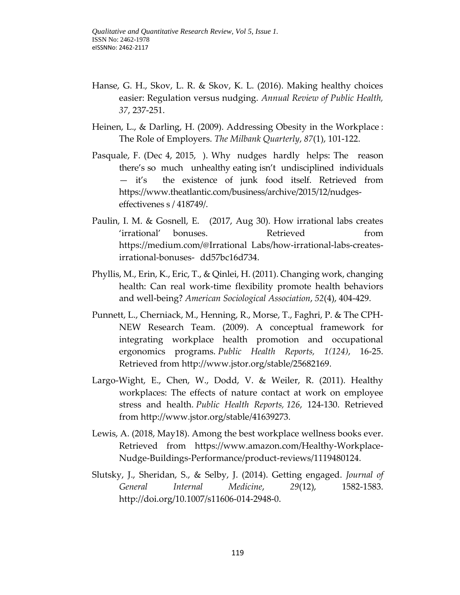- Hanse, G. H., Skov, L. R. & Skov, K. L. (2016). Making healthy choices easier: Regulation versus nudging. *Annual Review of Public Health, 37*, 237-251.
- Heinen, L., & Darling, H. (2009). Addressing Obesity in the Workplace : The Role of Employers. *The Milbank Quarterly*, *87*(1), 101-122.
- Pasquale, F. (Dec 4, 2015, ). Why nudges hardly helps: The reason there's so much unhealthy eating isn't undisciplined individuals — it's the existence of junk food itself. Retrieved from [https://www.theatlantic.com/business/archive/2015/12/nudges](https://www.theatlantic.com/business/archive/2015/12/nudges-effectivenes%20s%20/%20418749/)[effectivenes](https://www.theatlantic.com/business/archive/2015/12/nudges-effectivenes%20s%20/%20418749/) s / 418749/.
- Paulin, I. M. & Gosnell, E. (2017, Aug 30). How irrational labs creates 'irrational' bonuses. Retrieved from https://medium.com/@Irrational [Labs/how-irrational-labs-creates](https://medium.com/@Irrational%20Labs/how-irrational-labs-creates-irrational-bonuses-)[irrational-bonuses-](https://medium.com/@Irrational%20Labs/how-irrational-labs-creates-irrational-bonuses-) dd57bc16d734.
- Phyllis, M., Erin, K., Eric, T., & Qinlei, H. (2011). Changing work, changing health: Can real work-time flexibility promote health behaviors and well-being? *American Sociological Association*, *52*(4), 404-429.
- Punnett, L., Cherniack, M., Henning, R., Morse, T., Faghri, P. & The CPH-NEW Research Team. (2009). A conceptual framework for integrating workplace health promotion and occupational ergonomics programs. *Public Health Reports, 1(124)*, 16-25. Retrieved from [http://www.jstor.org/stable/25682169.](http://www.jstor.org/stable/25682169)
- Largo-Wight, E., Chen, W., Dodd, V. & Weiler, R. (2011). Healthy workplaces: The effects of nature contact at work on employee stress and health. *Public Health Reports, 126*, 124-130. Retrieved from [http://www.jstor.org/stable/41639273.](http://www.jstor.org/stable/41639273)
- Lewis, A. (2018, May18). Among the best workplace wellness books ever. Retrieved from [https://www.amazon.com/Healthy-Workplace-](https://www.amazon.com/Healthy-Workplace-Nudge-Buildings-Performance/product-reviews/1119480124)[Nudge-Buildings-Performance/product-reviews/1119480124.](https://www.amazon.com/Healthy-Workplace-Nudge-Buildings-Performance/product-reviews/1119480124)
- Slutsky, J., Sheridan, S., & Selby, J. (2014). Getting engaged. *Journal of General Internal Medicine*, *29*(12), 1582-1583. [http://doi.org/10.1007/s11606-014-2948-0.](http://doi.org/10.1007/s11606-014-2948-0)